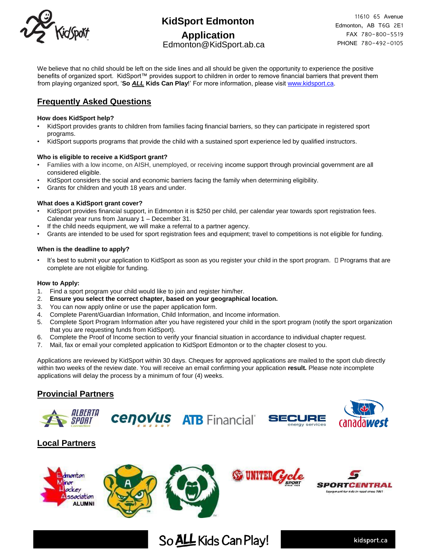

# **KidSport Edmonton**

### **Application** Edmonton@KidSport.ab.ca

11610 65 Avenue Edmonton, AB T6G 2E1 FAX 780-800-5519 PHONE 780-492-0105

We believe that no child should be left on the side lines and all should be given the opportunity to experience the positive benefits of organized sport. KidSport™ provides support to children in order to remove financial barriers that prevent them from playing organized sport, '**So** *ALL* **Kids Can Play**!' For more information, please visit [www.kidsport.ca.](http://www.kidsport.ca/)

## **Frequently Asked Questions**

#### **How does KidSport help?**

- KidSport provides grants to children from families facing financial barriers, so they can participate in registered sport programs.
- KidSport supports programs that provide the child with a sustained sport experience led by qualified instructors.

#### **Who is eligible to receive a KidSport grant?**

- Families with a low income, on AISH, unemployed, or receiving income support through provincial government are all considered eligible.
- KidSport considers the social and economic barriers facing the family when determining eligibility.
- Grants for children and youth 18 years and under.

#### **What does a KidSport grant cover?**

- KidSport provides financial support, in Edmonton it is \$250 per child, per calendar year towards sport registration fees. Calendar year runs from January 1 – December 31.
- If the child needs equipment, we will make a referral to a partner agency.
- Grants are intended to be used for sport registration fees and equipment; travel to competitions is not eligible for funding.

#### **When is the deadline to apply?**

 $\cdot$  It's best to submit your application to KidSport as soon as you register your child in the sport program.  $\Box$  Programs that are complete are not eligible for funding.

#### **How to Apply:**

- 1. Find a sport program your child would like to join and register him/her.
- 2. **Ensure you select the correct chapter, based on your geographical location.**
- 3. You can now apply online or use the paper application form.
- 4. Complete Parent/Guardian Information, Child Information, and Income information.
- 5. Complete Sport Program Information after you have registered your child in the sport program (notify the sport organization that you are requesting funds from KidSport).
- 6. Complete the Proof of Income section to verify your financial situation in accordance to individual chapter request.
- 7. Mail, fax or email your completed application to KidSport Edmonton or to the chapter closest to you.

Applications are reviewed by KidSport within 30 days. Cheques for approved applications are mailed to the sport club directly within two weeks of the review date. You will receive an email confirming your application **result.** Please note incomplete applications will delay the process by a minimum of four (4) weeks.

So ALL Kids Can Play!

## **Provincial Partners**









## **Local Partners**









kidsport.ca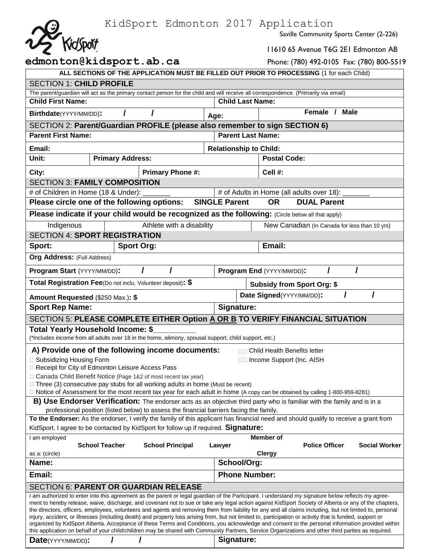KidSport Edmonton 2017 Application

Saville Community Sports Center (2-226)

|             | n⊥upp |
|-------------|-------|
| 25 Kidsport |       |
|             |       |

11610 65 Avenue T6G 2E1 Edmonton AB

| edmonton@kidsport.ab.ca                                                                                                                                                                                                                                                                                       |                                                                                          |  |                           |                               |  |                                 | Phone: (780) 492-0105 Fax: (780) 800-5519     |                      |
|---------------------------------------------------------------------------------------------------------------------------------------------------------------------------------------------------------------------------------------------------------------------------------------------------------------|------------------------------------------------------------------------------------------|--|---------------------------|-------------------------------|--|---------------------------------|-----------------------------------------------|----------------------|
| ALL SECTIONS OF THE APPLICATION MUST BE FILLED OUT PRIOR TO PROCESSING (1 for each Child)                                                                                                                                                                                                                     |                                                                                          |  |                           |                               |  |                                 |                                               |                      |
| <b>SECTION 1: CHILD PROFILE</b>                                                                                                                                                                                                                                                                               |                                                                                          |  |                           |                               |  |                                 |                                               |                      |
| The parent/guardian will act as the primary contact person for the child and will receive all correspondence. (Primarily via email)                                                                                                                                                                           |                                                                                          |  |                           |                               |  |                                 |                                               |                      |
| <b>Child First Name:</b>                                                                                                                                                                                                                                                                                      |                                                                                          |  |                           | <b>Child Last Name:</b>       |  |                                 |                                               |                      |
| Birthdate(YYYY/MM/DD):                                                                                                                                                                                                                                                                                        |                                                                                          |  |                           | Age:                          |  |                                 | Female /<br><b>Male</b>                       |                      |
| SECTION 2: Parent/Guardian PROFILE (please also remember to sign SECTION 6)                                                                                                                                                                                                                                   |                                                                                          |  |                           |                               |  |                                 |                                               |                      |
| <b>Parent First Name:</b>                                                                                                                                                                                                                                                                                     |                                                                                          |  |                           |                               |  | <b>Parent Last Name:</b>        |                                               |                      |
| Email:                                                                                                                                                                                                                                                                                                        |                                                                                          |  |                           | <b>Relationship to Child:</b> |  |                                 |                                               |                      |
| Unit:                                                                                                                                                                                                                                                                                                         | <b>Primary Address:</b>                                                                  |  |                           |                               |  | <b>Postal Code:</b>             |                                               |                      |
| City:                                                                                                                                                                                                                                                                                                         |                                                                                          |  | <b>Primary Phone #:</b>   |                               |  | Cell #:                         |                                               |                      |
| <b>SECTION 3: FAMILY COMPOSITION</b>                                                                                                                                                                                                                                                                          |                                                                                          |  |                           |                               |  |                                 |                                               |                      |
| # of Children in Home (18 & Under):                                                                                                                                                                                                                                                                           |                                                                                          |  |                           |                               |  |                                 | # of Adults in Home (all adults over 18):     |                      |
| Please circle one of the following options:                                                                                                                                                                                                                                                                   |                                                                                          |  |                           | <b>SINGLE Parent</b>          |  | <b>OR</b>                       | <b>DUAL Parent</b>                            |                      |
| Please indicate if your child would be recognized as the following: (Circle below all that apply)                                                                                                                                                                                                             |                                                                                          |  |                           |                               |  |                                 |                                               |                      |
| Indigenous                                                                                                                                                                                                                                                                                                    |                                                                                          |  | Athlete with a disability |                               |  |                                 | New Canadian (In Canada for less than 10 yrs) |                      |
| <b>SECTION 4: SPORT REGISTRATION</b>                                                                                                                                                                                                                                                                          |                                                                                          |  |                           |                               |  |                                 |                                               |                      |
| Sport:                                                                                                                                                                                                                                                                                                        | <b>Sport Org:</b>                                                                        |  |                           |                               |  | Email:                          |                                               |                      |
| Org Address: (Full Address)                                                                                                                                                                                                                                                                                   |                                                                                          |  |                           |                               |  |                                 |                                               |                      |
| Program Start (YYYY/MM/DD):                                                                                                                                                                                                                                                                                   |                                                                                          |  |                           |                               |  | Program End (YYYY/MM/DD):       |                                               |                      |
| Total Registration Fee(Do not inclu. Volunteer deposit): \$                                                                                                                                                                                                                                                   |                                                                                          |  |                           |                               |  |                                 | <b>Subsidy from Sport Org: \$</b>             |                      |
| Amount Requested (\$250 Max.): \$                                                                                                                                                                                                                                                                             |                                                                                          |  |                           |                               |  | Date Signed(YYYY/MM/DD):        | I                                             |                      |
| <b>Sport Rep Name:</b>                                                                                                                                                                                                                                                                                        |                                                                                          |  |                           | Signature:                    |  |                                 |                                               |                      |
| SECTION 5: PLEASE COMPLETE EITHER Option A OR B TO VERIFY FINANCIAL SITUATION                                                                                                                                                                                                                                 |                                                                                          |  |                           |                               |  |                                 |                                               |                      |
| Total Yearly Household Income: \$                                                                                                                                                                                                                                                                             |                                                                                          |  |                           |                               |  |                                 |                                               |                      |
| (*Includes income from all adults over 18 in the home, alimony, spousal support, child support, etc.)                                                                                                                                                                                                         |                                                                                          |  |                           |                               |  |                                 |                                               |                      |
| A) Provide one of the following income documents:                                                                                                                                                                                                                                                             |                                                                                          |  |                           |                               |  | □□ Child Health Benefits letter |                                               |                      |
| □ Subsidizing Housing Form<br>□ Receipt for City of Edmonton Leisure Access Pass                                                                                                                                                                                                                              |                                                                                          |  |                           |                               |  | □□ Income Support (Inc. AISH    |                                               |                      |
| □ Canada Child Benefit Notice (Page 1&2 of most recent tax year)                                                                                                                                                                                                                                              |                                                                                          |  |                           |                               |  |                                 |                                               |                      |
| $\Box$ Three (3) consecutive pay stubs for all working adults in home (Must be recent)                                                                                                                                                                                                                        |                                                                                          |  |                           |                               |  |                                 |                                               |                      |
| □ Notice of Assessment for the most recent tax year for each adult in home (A copy can be obtained by calling 1-800-959-8281)                                                                                                                                                                                 |                                                                                          |  |                           |                               |  |                                 |                                               |                      |
| <b>B) Use Endorser Verification:</b> The endorser acts as an objective third party who is familiar with the family and is in a                                                                                                                                                                                |                                                                                          |  |                           |                               |  |                                 |                                               |                      |
| To the Endorser: As the endorser, I verify the family of this applicant has financial need and should qualify to receive a grant from                                                                                                                                                                         | professional position (listed below) to assess the financial barriers facing the family. |  |                           |                               |  |                                 |                                               |                      |
| KidSport. I agree to be contacted by KidSport for follow up if required. Signature:                                                                                                                                                                                                                           |                                                                                          |  |                           |                               |  |                                 |                                               |                      |
| I am employed                                                                                                                                                                                                                                                                                                 |                                                                                          |  |                           |                               |  | Member of                       |                                               |                      |
|                                                                                                                                                                                                                                                                                                               | <b>School Teacher</b>                                                                    |  | <b>School Principal</b>   | Lawyer                        |  |                                 | <b>Police Officer</b>                         | <b>Social Worker</b> |
| as a: (circle)                                                                                                                                                                                                                                                                                                |                                                                                          |  |                           |                               |  | <b>Clergy</b>                   |                                               |                      |
| Name:                                                                                                                                                                                                                                                                                                         |                                                                                          |  |                           | School/Org:                   |  |                                 |                                               |                      |
| Email:                                                                                                                                                                                                                                                                                                        |                                                                                          |  |                           | <b>Phone Number:</b>          |  |                                 |                                               |                      |
| <b>SECTION 6: PARENT OR GUARDIAN RELEASE</b>                                                                                                                                                                                                                                                                  |                                                                                          |  |                           |                               |  |                                 |                                               |                      |
| I am authorized to enter into this agreement as the parent or legal guardian of the Participant. I understand my signature below reflects my agree-<br>ment to hereby release, waive, discharge, and covenant not to sue or take any legal action against KidSport Society of Alberta or any of the chapters, |                                                                                          |  |                           |                               |  |                                 |                                               |                      |
| the directors, officers, employees, volunteers and agents and removing them from liability for any and all claims including, but not limited to, personal                                                                                                                                                     |                                                                                          |  |                           |                               |  |                                 |                                               |                      |
| injury, accident, or illnesses (including death) and property loss arising from, but not limited to, participation or activity that is funded, support or                                                                                                                                                     |                                                                                          |  |                           |                               |  |                                 |                                               |                      |
| organized by KidSport Alberta. Acceptance of these Terms and Conditions, you acknowledge and consent to the personal information provided within<br>this application on behalf of your child/children may be shared with Community Partners, Service Organizations and other third parties as required.       |                                                                                          |  |                           |                               |  |                                 |                                               |                      |

| Signature:<br>Date(YYYY/MM/DD): |  |
|---------------------------------|--|
|---------------------------------|--|